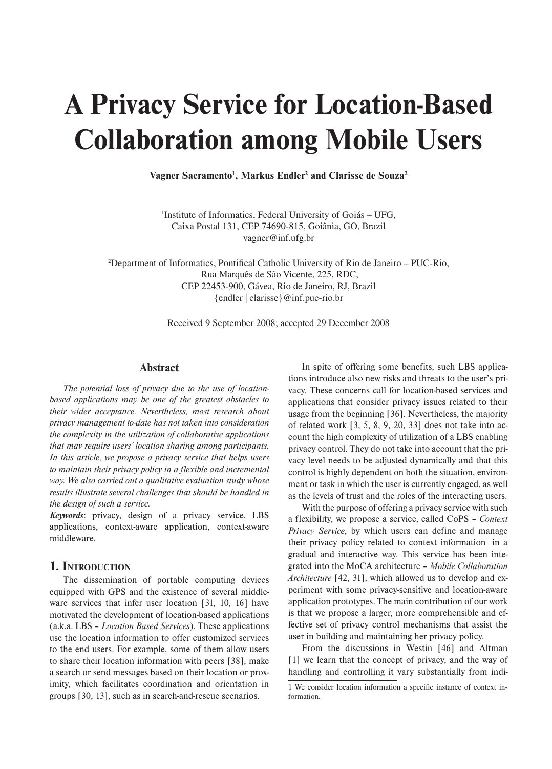# **A Privacy Service for Location-Based Collaboration among Mobile Users**

Vagner Sacramento<sup>1</sup>, Markus Endler<sup>2</sup> and Clarisse de Souza<sup>2</sup>

1 Institute of Informatics, Federal University of Goiás – UFG, Caixa Postal 131, CEP 74690-815, Goiânia, GO, Brazil vagner@inf.ufg.br

2 Department of Informatics, Pontifical Catholic University of Rio de Janeiro – PUC-Rio, Rua Marquês de São Vicente, 225, RDC, CEP 22453-900, Gávea, Rio de Janeiro, RJ, Brazil {endler | clarisse}@inf.puc-rio.br

Received 9 September 2008; accepted 29 December 2008

### **Abstract**

*The potential loss of privacy due to the use of locationbased applications may be one of the greatest obstacles to their wider acceptance. Nevertheless, most research about privacy management to-date has not taken into consideration the complexity in the utilization of collaborative applications that may require users' location sharing among participants. In this article, we propose a privacy service that helps users to maintain their privacy policy in a flexible and incremental way. We also carried out a qualitative evaluation study whose results illustrate several challenges that should be handled in the design of such a service.*

*Keywords*: privacy, design of a privacy service, LBS applications, context-aware application, context-aware middleware.

### **1. INTRODUCTION**

The dissemination of portable computing devices equipped with GPS and the existence of several middleware services that infer user location [31, 10, 16] have motivated the development of location-based applications (a.k.a. LBS – *Location Based Services*). These applications use the location information to offer customized services to the end users. For example, some of them allow users to share their location information with peers [38], make a search or send messages based on their location or proximity, which facilitates coordination and orientation in groups [30, 13], such as in search-and-rescue scenarios.

In spite of offering some benefits, such LBS applications introduce also new risks and threats to the user's privacy. These concerns call for location-based services and applications that consider privacy issues related to their usage from the beginning [36]. Nevertheless, the majority of related work [3, 5, 8, 9, 20, 33] does not take into account the high complexity of utilization of a LBS enabling privacy control. They do not take into account that the privacy level needs to be adjusted dynamically and that this control is highly dependent on both the situation, environment or task in which the user is currently engaged, as well as the levels of trust and the roles of the interacting users.

With the purpose of offering a privacy service with such a flexibility, we propose a service, called CoPS – *Context Privacy Service*, by which users can define and manage their privacy policy related to context information<sup>1</sup> in a gradual and interactive way. This service has been integrated into the MoCA architecture – *Mobile Collaboration Architecture* [42, 31], which allowed us to develop and experiment with some privacy-sensitive and location-aware application prototypes. The main contribution of our work is that we propose a larger, more comprehensible and effective set of privacy control mechanisms that assist the user in building and maintaining her privacy policy.

From the discussions in Westin [46] and Altman [1] we learn that the concept of privacy, and the way of handling and controlling it vary substantially from indi-

<sup>1</sup> We consider location information a specific instance of context information.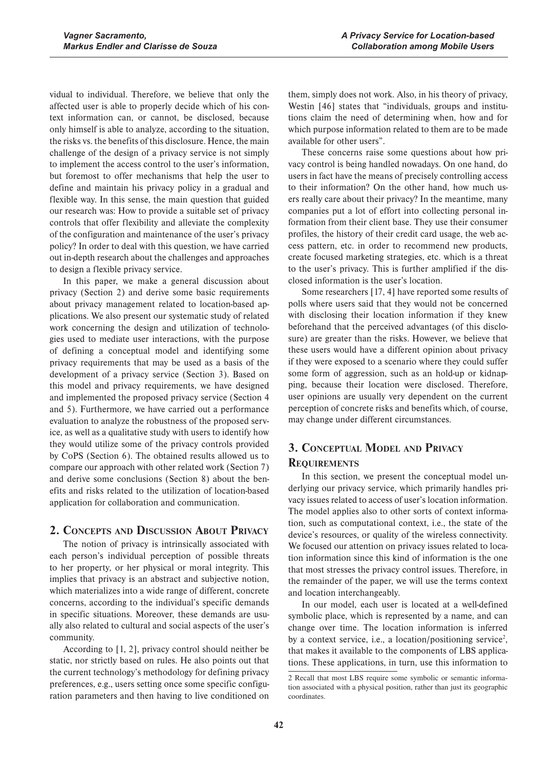vidual to individual. Therefore, we believe that only the affected user is able to properly decide which of his context information can, or cannot, be disclosed, because only himself is able to analyze, according to the situation, the risks vs. the benefits of this disclosure. Hence, the main challenge of the design of a privacy service is not simply to implement the access control to the user's information, but foremost to offer mechanisms that help the user to define and maintain his privacy policy in a gradual and flexible way. In this sense, the main question that guided our research was: How to provide a suitable set of privacy controls that offer flexibility and alleviate the complexity of the configuration and maintenance of the user's privacy policy? In order to deal with this question, we have carried out in-depth research about the challenges and approaches to design a flexible privacy service.

In this paper, we make a general discussion about privacy (Section 2) and derive some basic requirements about privacy management related to location-based applications. We also present our systematic study of related work concerning the design and utilization of technologies used to mediate user interactions, with the purpose of defining a conceptual model and identifying some privacy requirements that may be used as a basis of the development of a privacy service (Section 3). Based on this model and privacy requirements, we have designed and implemented the proposed privacy service (Section 4 and 5). Furthermore, we have carried out a performance evaluation to analyze the robustness of the proposed service, as well as a qualitative study with users to identify how they would utilize some of the privacy controls provided by CoPS (Section 6). The obtained results allowed us to compare our approach with other related work (Section 7) and derive some conclusions (Section 8) about the benefits and risks related to the utilization of location-based application for collaboration and communication.

## **2. CONCEPTS AND DISCUSSION ABOUT PRIVACY**

The notion of privacy is intrinsically associated with each person's individual perception of possible threats to her property, or her physical or moral integrity. This implies that privacy is an abstract and subjective notion, which materializes into a wide range of different, concrete concerns, according to the individual's specific demands in specific situations. Moreover, these demands are usually also related to cultural and social aspects of the user's community.

According to [1, 2], privacy control should neither be static, nor strictly based on rules. He also points out that the current technology's methodology for defining privacy preferences, e.g., users setting once some specific configuration parameters and then having to live conditioned on them, simply does not work. Also, in his theory of privacy, Westin [46] states that "individuals, groups and institutions claim the need of determining when, how and for which purpose information related to them are to be made available for other users".

These concerns raise some questions about how privacy control is being handled nowadays. On one hand, do users in fact have the means of precisely controlling access to their information? On the other hand, how much users really care about their privacy? In the meantime, many companies put a lot of effort into collecting personal information from their client base. They use their consumer profiles, the history of their credit card usage, the web access pattern, etc. in order to recommend new products, create focused marketing strategies, etc. which is a threat to the user's privacy. This is further amplified if the disclosed information is the user's location.

Some researchers [17, 4] have reported some results of polls where users said that they would not be concerned with disclosing their location information if they knew beforehand that the perceived advantages (of this disclosure) are greater than the risks. However, we believe that these users would have a different opinion about privacy if they were exposed to a scenario where they could suffer some form of aggression, such as an hold-up or kidnapping, because their location were disclosed. Therefore, user opinions are usually very dependent on the current perception of concrete risks and benefits which, of course, may change under different circumstances.

# **3. CONCEPTUAL MODEL AND PRIVACY REQUIREMENTS**

In this section, we present the conceptual model underlying our privacy service, which primarily handles privacy issues related to access of user's location information. The model applies also to other sorts of context information, such as computational context, i.e., the state of the device's resources, or quality of the wireless connectivity. We focused our attention on privacy issues related to location information since this kind of information is the one that most stresses the privacy control issues. Therefore, in the remainder of the paper, we will use the terms context and location interchangeably.

In our model, each user is located at a well-defined symbolic place, which is represented by a name, and can change over time. The location information is inferred by a context service, i.e., a location/positioning service<sup>2</sup>, that makes it available to the components of LBS applications. These applications, in turn, use this information to

<sup>2</sup> Recall that most LBS require some symbolic or semantic information associated with a physical position, rather than just its geographic coordinates.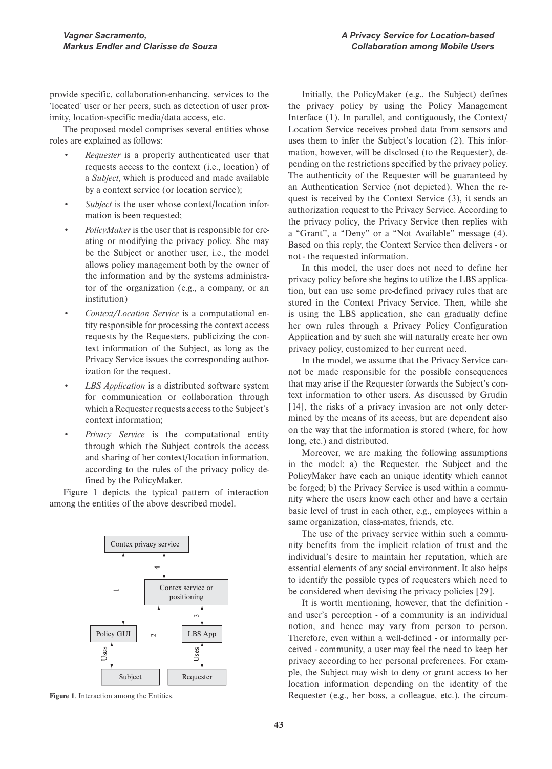provide specific, collaboration-enhancing, services to the 'located' user or her peers, such as detection of user proximity, location-specific media/data access, etc.

The proposed model comprises several entities whose roles are explained as follows:

- *Requester* is a properly authenticated user that requests access to the context (i.e., location) of a *Subject*, which is produced and made available by a context service (or location service);
- Subject is the user whose context/location information is been requested;
- *PolicyMaker* is the user that is responsible for creating or modifying the privacy policy. She may be the Subject or another user, i.e., the model allows policy management both by the owner of the information and by the systems administrator of the organization (e.g., a company, or an institution)
- x *Context/Location Service* is a computational entity responsible for processing the context access requests by the Requesters, publicizing the context information of the Subject, as long as the Privacy Service issues the corresponding authorization for the request.
- LBS *Application* is a distributed software system for communication or collaboration through which a Requester requests access to the Subject's context information;
- x *Privacy Service* is the computational entity through which the Subject controls the access and sharing of her context/location information, according to the rules of the privacy policy defined by the PolicyMaker.

Figure 1 depicts the typical pattern of interaction among the entities of the above described model.



**Figure 1**. Interaction among the Entities.

Initially, the PolicyMaker (e.g., the Subject) defines the privacy policy by using the Policy Management Interface (1). In parallel, and contiguously, the Context/ Location Service receives probed data from sensors and uses them to infer the Subject's location (2). This information, however, will be disclosed (to the Requester), depending on the restrictions specified by the privacy policy. The authenticity of the Requester will be guaranteed by an Authentication Service (not depicted). When the request is received by the Context Service (3), it sends an authorization request to the Privacy Service. According to the privacy policy, the Privacy Service then replies with a "Grant'', a "Deny'' or a "Not Available'' message (4). Based on this reply, the Context Service then delivers - or not - the requested information.

In this model, the user does not need to define her privacy policy before she begins to utilize the LBS application, but can use some pre-defined privacy rules that are stored in the Context Privacy Service. Then, while she is using the LBS application, she can gradually define her own rules through a Privacy Policy Configuration Application and by such she will naturally create her own privacy policy, customized to her current need.

In the model, we assume that the Privacy Service cannot be made responsible for the possible consequences that may arise if the Requester forwards the Subject's context information to other users. As discussed by Grudin [14], the risks of a privacy invasion are not only determined by the means of its access, but are dependent also on the way that the information is stored (where, for how long, etc.) and distributed.

Moreover, we are making the following assumptions in the model: a) the Requester, the Subject and the PolicyMaker have each an unique identity which cannot be forged; b) the Privacy Service is used within a community where the users know each other and have a certain basic level of trust in each other, e.g., employees within a same organization, class-mates, friends, etc.

The use of the privacy service within such a community benefits from the implicit relation of trust and the individual's desire to maintain her reputation, which are essential elements of any social environment. It also helps to identify the possible types of requesters which need to be considered when devising the privacy policies [29].

It is worth mentioning, however, that the definition and user's perception - of a community is an individual notion, and hence may vary from person to person. Therefore, even within a well-defined - or informally perceived - community, a user may feel the need to keep her privacy according to her personal preferences. For example, the Subject may wish to deny or grant access to her location information depending on the identity of the Requester (e.g., her boss, a colleague, etc.), the circum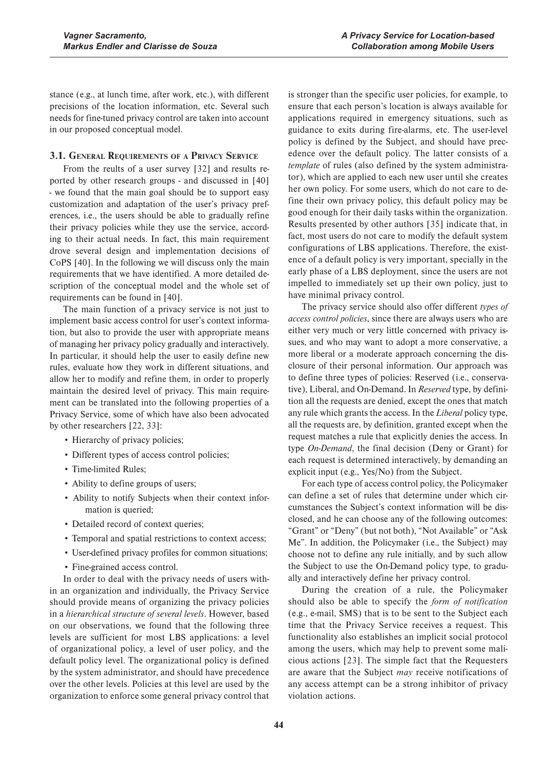stance (e.g., at lunch time, after work, etc.), with different precisions of the location information, etc. Several such needs for fine-tuned privacy control are taken into account in our proposed conceptual model.

### **3.1. GENERAL REQUIREMENTS OF A PRIVACY SERVICE**

From the reults of a user survey [32] and results reported by other research groups - and discussed in [40] - we found that the main goal should be to support easy customization and adaptation of the user's privacy preferences, i.e., the users should be able to gradually refine their privacy policies while they use the service, according to their actual needs. In fact, this main requirement drove several design and implementation decisions of CoPS [40]. In the following we will discuss only the main requirements that we have identified. A more detailed description of the conceptual model and the whole set of requirements can be found in [40].

The main function of a privacy service is not just to implement basic access control for user's context information, but also to provide the user with appropriate means of managing her privacy policy gradually and interactively. In particular, it should help the user to easily define new rules, evaluate how they work in different situations, and allow her to modify and refine them, in order to properly maintain the desired level of privacy. This main requirement can be translated into the following properties of a Privacy Service, some of which have also been advocated by other researchers [22, 33]:

- Hierarchy of privacy policies;
- Different types of access control policies;
- Time-limited Rules;
- Ability to define groups of users;
- Ability to notify Subjects when their context information is queried;
- Detailed record of context queries;
- Temporal and spatial restrictions to context access;
- User-defined privacy profiles for common situations;
- Fine-grained access control.

In order to deal with the privacy needs of users within an organization and individually, the Privacy Service should provide means of organizing the privacy policies in a *hierarchical structure of several levels*. However, based on our observations, we found that the following three levels are sufficient for most LBS applications: a level of organizational policy, a level of user policy, and the default policy level. The organizational policy is defined by the system administrator, and should have precedence over the other levels. Policies at this level are used by the organization to enforce some general privacy control that is stronger than the specific user policies, for example, to ensure that each person's location is always available for applications required in emergency situations, such as guidance to exits during fire-alarms, etc. The user-level policy is defined by the Subject, and should have precedence over the default policy. The latter consists of a *template* of rules (also defined by the system administrator), which are applied to each new user until she creates her own policy. For some users, which do not care to define their own privacy policy, this default policy may be good enough for their daily tasks within the organization. Results presented by other authors [35] indicate that, in fact, most users do not care to modify the default system configurations of LBS applications. Therefore, the existence of a default policy is very important, specially in the early phase of a LBS deployment, since the users are not impelled to immediately set up their own policy, just to have minimal privacy control.

The privacy service should also offer different *types of access control policies*, since there are always users who are either very much or very little concerned with privacy issues, and who may want to adopt a more conservative, a more liberal or a moderate approach concerning the disclosure of their personal information. Our approach was to define three types of policies: Reserved (i.e., conservative), Liberal, and On-Demand. In *Reserved* type, by definition all the requests are denied, except the ones that match any rule which grants the access. In the *Liberal* policy type, all the requests are, by definition, granted except when the request matches a rule that explicitly denies the access. In type *On-Demand*, the final decision (Deny or Grant) for each request is determined interactively, by demanding an explicit input (e.g., Yes/No) from the Subject.

For each type of access control policy, the Policymaker can define a set of rules that determine under which circumstances the Subject's context information will be disclosed, and he can choose any of the following outcomes: "Grant" or "Deny" (but not both), "Not Available" or "Ask Me". In addition, the Policymaker (i.e., the Subject) may choose not to define any rule initially, and by such allow the Subject to use the On-Demand policy type, to gradually and interactively define her privacy control.

During the creation of a rule, the Policymaker should also be able to specify the *form of notification* (e.g., e-mail, SMS) that is to be sent to the Subject each time that the Privacy Service receives a request. This functionality also establishes an implicit social protocol among the users, which may help to prevent some malicious actions [23]. The simple fact that the Requesters are aware that the Subject *may* receive notifications of any access attempt can be a strong inhibitor of privacy violation actions.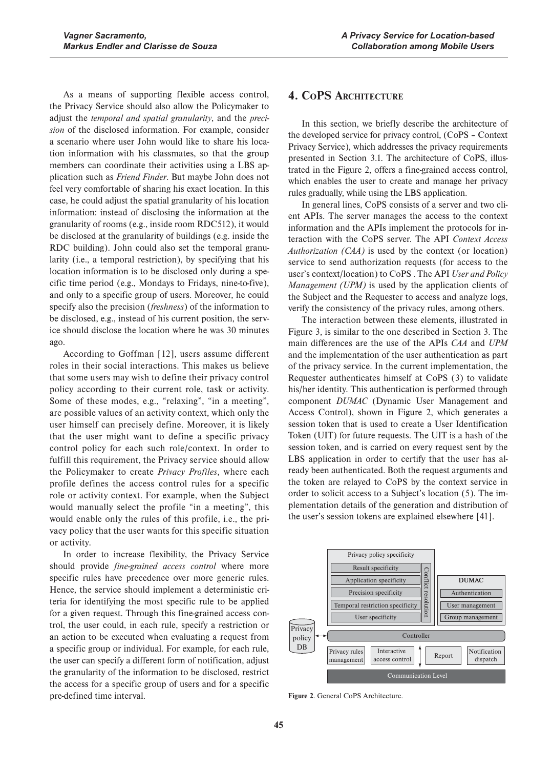As a means of supporting flexible access control, the Privacy Service should also allow the Policymaker to adjust the *temporal and spatial granularity*, and the *precision* of the disclosed information. For example, consider a scenario where user John would like to share his location information with his classmates, so that the group members can coordinate their activities using a LBS application such as *Friend Finder*. But maybe John does not feel very comfortable of sharing his exact location. In this case, he could adjust the spatial granularity of his location information: instead of disclosing the information at the granularity of rooms (e.g., inside room RDC512), it would be disclosed at the granularity of buildings (e.g. inside the RDC building). John could also set the temporal granularity (i.e., a temporal restriction), by specifying that his location information is to be disclosed only during a specific time period (e.g., Mondays to Fridays, nine-to-five), and only to a specific group of users. Moreover, he could specify also the precision (*freshness*) of the information to be disclosed, e.g., instead of his current position, the service should disclose the location where he was 30 minutes ago.

According to Goffman [12], users assume different roles in their social interactions. This makes us believe that some users may wish to define their privacy control policy according to their current role, task or activity. Some of these modes, e.g., "relaxing", "in a meeting", are possible values of an activity context, which only the user himself can precisely define. Moreover, it is likely that the user might want to define a specific privacy control policy for each such role/context. In order to fulfill this requirement, the Privacy service should allow the Policymaker to create *Privacy Profiles*, where each profile defines the access control rules for a specific role or activity context. For example, when the Subject would manually select the profile "in a meeting", this would enable only the rules of this profile, i.e., the privacy policy that the user wants for this specific situation or activity.

In order to increase flexibility, the Privacy Service should provide *fine-grained access control* where more specific rules have precedence over more generic rules. Hence, the service should implement a deterministic criteria for identifying the most specific rule to be applied for a given request. Through this fine-grained access control, the user could, in each rule, specify a restriction or an action to be executed when evaluating a request from a specific group or individual. For example, for each rule, the user can specify a different form of notification, adjust the granularity of the information to be disclosed, restrict the access for a specific group of users and for a specific pre-defined time interval.

# **4. COPS ARCHITECTURE**

In this section, we briefly describe the architecture of the developed service for privacy control, (CoPS – Context Privacy Service), which addresses the privacy requirements presented in Section 3.1. The architecture of CoPS, illustrated in the Figure 2, offers a fine-grained access control, which enables the user to create and manage her privacy rules gradually, while using the LBS application.

In general lines, CoPS consists of a server and two client APIs. The server manages the access to the context information and the APIs implement the protocols for interaction with the CoPS server. The API *Context Access Authorization (CAA)* is used by the context (or location) service to send authorization requests (for access to the user's context/location) to CoPS . The API *User and Policy Management (UPM)* is used by the application clients of the Subject and the Requester to access and analyze logs, verify the consistency of the privacy rules, among others.

The interaction between these elements, illustrated in Figure 3, is similar to the one described in Section 3. The main differences are the use of the APIs *CAA* and *UPM* and the implementation of the user authentication as part of the privacy service. In the current implementation, the Requester authenticates himself at CoPS (3) to validate his/her identity. This authentication is performed through component *DUMAC* (Dynamic User Management and Access Control), shown in Figure 2, which generates a session token that is used to create a User Identification Token (UIT) for future requests. The UIT is a hash of the session token, and is carried on every request sent by the LBS application in order to certify that the user has already been authenticated. Both the request arguments and the token are relayed to CoPS by the context service in order to solicit access to a Subject's location (5). The implementation details of the generation and distribution of the user's session tokens are explained elsewhere [41].



**Figure 2**. General CoPS Architecture.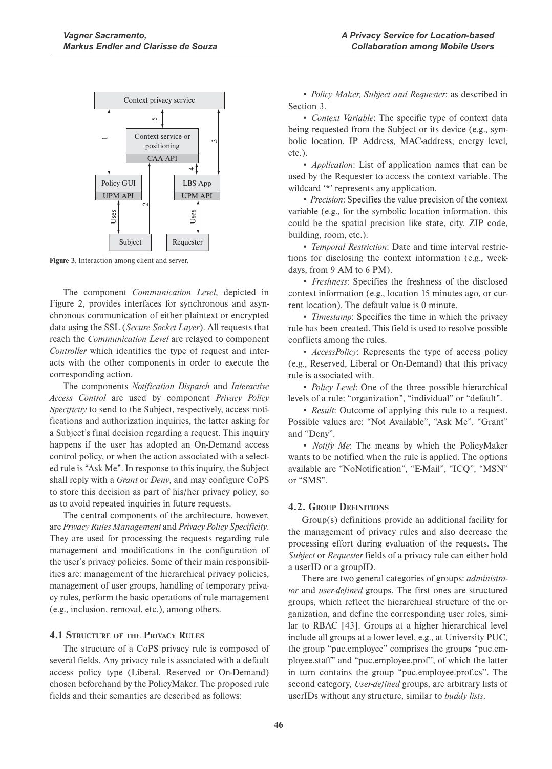

**Figure 3**. Interaction among client and server.

The component *Communication Level*, depicted in Figure 2, provides interfaces for synchronous and asynchronous communication of either plaintext or encrypted data using the SSL (*Secure Socket Layer*). All requests that reach the *Communication Level* are relayed to component *Controller* which identifies the type of request and interacts with the other components in order to execute the corresponding action.

The components *Notification Dispatch* and *Interactive Access Control* are used by component *Privacy Policy Specificity* to send to the Subject, respectively, access notifications and authorization inquiries, the latter asking for a Subject's final decision regarding a request. This inquiry happens if the user has adopted an On-Demand access control policy, or when the action associated with a selected rule is "Ask Me". In response to this inquiry, the Subject shall reply with a *Grant* or *Deny*, and may configure CoPS to store this decision as part of his/her privacy policy, so as to avoid repeated inquiries in future requests.

The central components of the architecture, however, are *Privacy Rules Management* and *Privacy Policy Specificity*. They are used for processing the requests regarding rule management and modifications in the configuration of the user's privacy policies. Some of their main responsibilities are: management of the hierarchical privacy policies, management of user groups, handling of temporary privacy rules, perform the basic operations of rule management (e.g., inclusion, removal, etc.), among others.

### **4.1 STRUCTURE OF THE PRIVACY RULES**

The structure of a CoPS privacy rule is composed of several fields. Any privacy rule is associated with a default access policy type (Liberal, Reserved or On-Demand) chosen beforehand by the PolicyMaker. The proposed rule fields and their semantics are described as follows:

x *Policy Maker, Subject and Requester*: as described in Section 3.

• *Context Variable*: The specific type of context data being requested from the Subject or its device (e.g., symbolic location, IP Address, MAC-address, energy level, etc.).

• *Application*: List of application names that can be used by the Requester to access the context variable. The wildcard "\*" represents any application.

• *Precision*: Specifies the value precision of the context variable (e.g., for the symbolic location information, this could be the spatial precision like state, city, ZIP code, building, room, etc.).

x *Temporal Restriction*: Date and time interval restrictions for disclosing the context information (e.g., weekdays, from 9 AM to 6 PM).

x *Freshness*: Specifies the freshness of the disclosed context information (e.g., location 15 minutes ago, or current location). The default value is 0 minute.

• *Timestamp*: Specifies the time in which the privacy rule has been created. This field is used to resolve possible conflicts among the rules.

• *AccessPolicy*: Represents the type of access policy (e.g., Reserved, Liberal or On-Demand) that this privacy rule is associated with.

• *Policy Level*: One of the three possible hierarchical levels of a rule: "organization", "individual" or "default".

• *Result*: Outcome of applying this rule to a request. Possible values are: "Not Available", "Ask Me", "Grant" and "Deny".

• *Notify Me*: The means by which the PolicyMaker wants to be notified when the rule is applied. The options available are "NoNotification", "E-Mail", "ICQ", "MSN" or "SMS".

### **4.2. GROUP DEFINITIONS**

Group(s) definitions provide an additional facility for the management of privacy rules and also decrease the processing effort during evaluation of the requests. The *Subject* or *Requester* fields of a privacy rule can either hold a userID or a groupID.

There are two general categories of groups: *administrator* and *user-defined* groups. The first ones are structured groups, which reflect the hierarchical structure of the organization, and define the corresponding user roles, similar to RBAC [43]. Groups at a higher hierarchical level include all groups at a lower level, e.g., at University PUC, the group "puc.employee" comprises the groups "puc.employee.staff" and "puc.employee.prof'', of which the latter in turn contains the group "puc.employee.prof.cs''. The second category, *User-defined* groups, are arbitrary lists of userIDs without any structure, similar to *buddy lists*.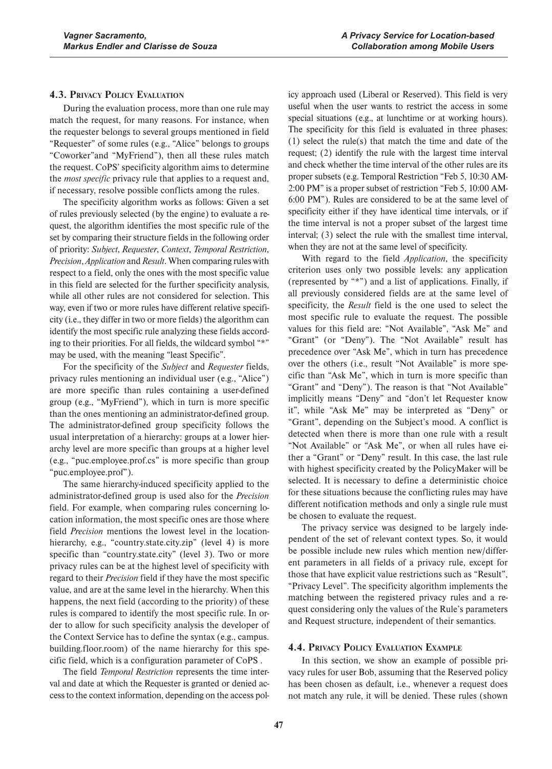### **4.3. PRIVACY POLICY EVALUATION**

During the evaluation process, more than one rule may match the request, for many reasons. For instance, when the requester belongs to several groups mentioned in field "Requester" of some rules (e.g., "Alice" belongs to groups "Coworker"and "MyFriend"), then all these rules match the request. CoPS' specificity algorithm aims to determine the *most specific* privacy rule that applies to a request and, if necessary, resolve possible conflicts among the rules.

The specificity algorithm works as follows: Given a set of rules previously selected (by the engine) to evaluate a request, the algorithm identifies the most specific rule of the set by comparing their structure fields in the following order of priority: *Subject*, *Requester*, *Context*, *Temporal Restriction*, *Precision*, *Application* and *Result*. When comparing rules with respect to a field, only the ones with the most specific value in this field are selected for the further specificity analysis, while all other rules are not considered for selection. This way, even if two or more rules have different relative specificity (i.e., they differ in two or more fields) the algorithm can identify the most specific rule analyzing these fields according to their priorities. For all fields, the wildcard symbol "\*" may be used, with the meaning "least Specific".

For the specificity of the *Subject* and *Requester* fields, privacy rules mentioning an individual user (e.g., "Alice") are more specific than rules containing a user-defined group (e.g., "MyFriend"), which in turn is more specific than the ones mentioning an administrator-defined group. The administrator-defined group specificity follows the usual interpretation of a hierarchy: groups at a lower hierarchy level are more specific than groups at a higher level (e.g., "puc.employee.prof.cs" is more specific than group "puc.employee.prof").

The same hierarchy-induced specificity applied to the administrator-defined group is used also for the *Precision* field. For example, when comparing rules concerning location information, the most specific ones are those where field *Precision* mentions the lowest level in the locationhierarchy, e.g., "country.state.city.zip" (level 4) is more specific than "country.state.city" (level 3). Two or more privacy rules can be at the highest level of specificity with regard to their *Precision* field if they have the most specific value, and are at the same level in the hierarchy. When this happens, the next field (according to the priority) of these rules is compared to identify the most specific rule. In order to allow for such specificity analysis the developer of the Context Service has to define the syntax (e.g., campus. building.floor.room) of the name hierarchy for this specific field, which is a configuration parameter of CoPS .

The field *Temporal Restriction* represents the time interval and date at which the Requester is granted or denied access to the context information, depending on the access pol-

icy approach used (Liberal or Reserved). This field is very useful when the user wants to restrict the access in some special situations (e.g., at lunchtime or at working hours). The specificity for this field is evaluated in three phases: (1) select the rule(s) that match the time and date of the request; (2) identify the rule with the largest time interval and check whether the time interval of the other rules are its proper subsets (e.g. Temporal Restriction "Feb 5, 10:30 AM-2:00 PM" is a proper subset of restriction "Feb 5, 10:00 AM-6:00 PM"). Rules are considered to be at the same level of specificity either if they have identical time intervals, or if the time interval is not a proper subset of the largest time interval; (3) select the rule with the smallest time interval, when they are not at the same level of specificity.

With regard to the field *Application*, the specificity criterion uses only two possible levels: any application (represented by "\*") and a list of applications. Finally, if all previously considered fields are at the same level of specificity, the *Result* field is the one used to select the most specific rule to evaluate the request. The possible values for this field are: "Not Available", "Ask Me" and "Grant" (or "Deny"). The "Not Available" result has precedence over "Ask Me", which in turn has precedence over the others (i.e., result "Not Available" is more specific than "Ask Me", which in turn is more specific than "Grant" and "Deny"). The reason is that "Not Available" implicitly means "Deny" and "don't let Requester know it", while "Ask Me" may be interpreted as "Deny" or "Grant", depending on the Subject's mood. A conflict is detected when there is more than one rule with a result "Not Available" or "Ask Me", or when all rules have either a "Grant" or "Deny" result. In this case, the last rule with highest specificity created by the PolicyMaker will be selected. It is necessary to define a deterministic choice for these situations because the conflicting rules may have different notification methods and only a single rule must be chosen to evaluate the request.

The privacy service was designed to be largely independent of the set of relevant context types. So, it would be possible include new rules which mention new/different parameters in all fields of a privacy rule, except for those that have explicit value restrictions such as "Result", "Privacy Level". The specificity algorithm implements the matching between the registered privacy rules and a request considering only the values of the Rule's parameters and Request structure, independent of their semantics.

### **4.4. PRIVACY POLICY EVALUATION EXAMPLE**

In this section, we show an example of possible privacy rules for user Bob, assuming that the Reserved policy has been chosen as default, i.e., whenever a request does not match any rule, it will be denied. These rules (shown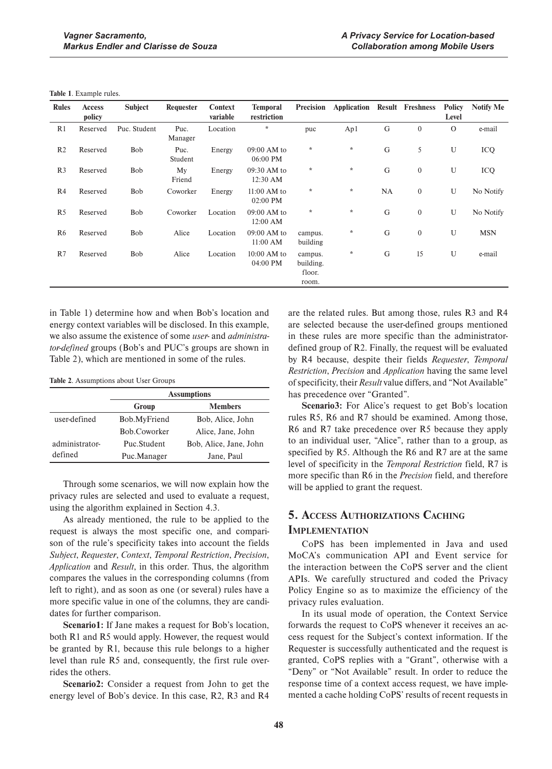**Table 1**. Example rules.

| <b>Rules</b>   | <b>Access</b><br>policy | <b>Subject</b> | Requester       | <b>Context</b><br>variable | <b>Temporal</b><br>restriction | Precision                               | Application |    | <b>Result Freshness</b> | <b>Policy</b><br>Level | <b>Notify Me</b> |
|----------------|-------------------------|----------------|-----------------|----------------------------|--------------------------------|-----------------------------------------|-------------|----|-------------------------|------------------------|------------------|
| R1             | Reserved                | Puc. Student   | Puc.<br>Manager | Location                   | $\star$                        | puc                                     | Ap1         | G  | $\boldsymbol{0}$        | $\mathbf{O}$           | e-mail           |
| R <sub>2</sub> | Reserved                | <b>Bob</b>     | Puc.<br>Student | Energy                     | 09:00 AM to<br>06:00 PM        | $\star$                                 | $\star$     | G  | 5                       | U                      | ICQ              |
| R <sub>3</sub> | Reserved                | <b>Bob</b>     | My<br>Friend    | Energy                     | 09:30 AM to<br>12:30 AM        | $\star$                                 | $\star$     | G  | $\boldsymbol{0}$        | U                      | ICQ              |
| R4             | Reserved                | <b>Bob</b>     | Coworker        | Energy                     | 11:00 AM to<br>02:00 PM        | $\star$                                 | $\star$     | NA | $\boldsymbol{0}$        | U                      | No Notify        |
| R <sub>5</sub> | Reserved                | Bob            | Coworker        | Location                   | 09:00 AM to<br>12:00 AM        | $\star$                                 | $\star$     | G  | $\boldsymbol{0}$        | U                      | No Notify        |
| R <sub>6</sub> | Reserved                | Bob            | Alice           | Location                   | 09:00 AM to<br>11:00 AM        | campus.<br>building                     | $\star$     | G  | $\mathbf{0}$            | U                      | <b>MSN</b>       |
| R7             | Reserved                | <b>Bob</b>     | Alice           | Location                   | $10:00$ AM to<br>04:00 PM      | campus.<br>building.<br>floor.<br>room. | $\star$     | G  | 15                      | U                      | e-mail           |

in Table 1) determine how and when Bob's location and energy context variables will be disclosed. In this example, we also assume the existence of some *user-* and *administrator-defined* groups (Bob's and PUC's groups are shown in Table 2), which are mentioned in some of the rules.

Table 2. Assumptions about User Groups

|                | <b>Assumptions</b> |                        |  |
|----------------|--------------------|------------------------|--|
|                | Group              | <b>Members</b>         |  |
| user-defined   | Bob.MyFriend       | Bob, Alice, John       |  |
|                | Bob.Coworker       | Alice, Jane, John      |  |
| administrator- | Puc.Student        | Bob, Alice, Jane, John |  |
| defined        | Puc.Manager        | Jane, Paul             |  |

Through some scenarios, we will now explain how the privacy rules are selected and used to evaluate a request, using the algorithm explained in Section 4.3.

As already mentioned, the rule to be applied to the request is always the most specific one, and comparison of the rule's specificity takes into account the fields *Subject*, *Requester*, *Context*, *Temporal Restriction*, *Precision*, *Application* and *Result*, in this order. Thus, the algorithm compares the values in the corresponding columns (from left to right), and as soon as one (or several) rules have a more specific value in one of the columns, they are candidates for further comparison.

**Scenario1:** If Jane makes a request for Bob's location, both R1 and R5 would apply. However, the request would be granted by R1, because this rule belongs to a higher level than rule R5 and, consequently, the first rule overrides the others.

**Scenario2:** Consider a request from John to get the energy level of Bob's device. In this case, R2, R3 and R4 are the related rules. But among those, rules R3 and R4 are selected because the user-defined groups mentioned in these rules are more specific than the administratordefined group of R2. Finally, the request will be evaluated by R4 because, despite their fields *Requester*, *Temporal Restriction*, *Precision* and *Application* having the same level of specificity, their *Result* value differs, and "Not Available" has precedence over "Granted".

**Scenario3:** For Alice's request to get Bob's location rules R5, R6 and R7 should be examined. Among those, R6 and R7 take precedence over R5 because they apply to an individual user, "Alice", rather than to a group, as specified by R5. Although the R6 and R7 are at the same level of specificity in the *Temporal Restriction* field, R7 is more specific than R6 in the *Precision* field, and therefore will be applied to grant the request.

# **5. ACCESS AUTHORIZATIONS CACHING**

### **IMPLEMENTATION**

CoPS has been implemented in Java and used MoCA's communication API and Event service for the interaction between the CoPS server and the client APIs. We carefully structured and coded the Privacy Policy Engine so as to maximize the efficiency of the privacy rules evaluation.

In its usual mode of operation, the Context Service forwards the request to CoPS whenever it receives an access request for the Subject's context information. If the Requester is successfully authenticated and the request is granted, CoPS replies with a "Grant", otherwise with a "Deny" or "Not Available" result. In order to reduce the response time of a context access request, we have implemented a cache holding CoPS' results of recent requests in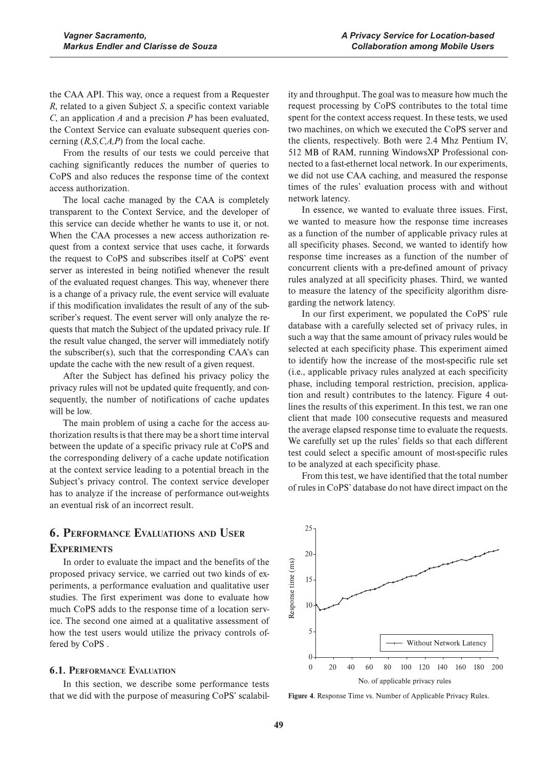the CAA API. This way, once a request from a Requester *R*, related to a given Subject *S*, a specific context variable *C*, an application *A* and a precision *P* has been evaluated, the Context Service can evaluate subsequent queries concerning (*R,S,C,A,P*) from the local cache.

From the results of our tests we could perceive that caching significantly reduces the number of queries to CoPS and also reduces the response time of the context access authorization.

The local cache managed by the CAA is completely transparent to the Context Service, and the developer of this service can decide whether he wants to use it, or not. When the CAA processes a new access authorization request from a context service that uses cache, it forwards the request to CoPS and subscribes itself at CoPS' event server as interested in being notified whenever the result of the evaluated request changes. This way, whenever there is a change of a privacy rule, the event service will evaluate if this modification invalidates the result of any of the subscriber's request. The event server will only analyze the requests that match the Subject of the updated privacy rule. If the result value changed, the server will immediately notify the subscriber(s), such that the corresponding CAA's can update the cache with the new result of a given request.

After the Subject has defined his privacy policy the privacy rules will not be updated quite frequently, and consequently, the number of notifications of cache updates will be low.

The main problem of using a cache for the access authorization results is that there may be a short time interval between the update of a specific privacy rule at CoPS and the corresponding delivery of a cache update notification at the context service leading to a potential breach in the Subject's privacy control. The context service developer has to analyze if the increase of performance out-weights an eventual risk of an incorrect result.

# **6. PERFORMANCE EVALUATIONS AND USER EXPERIMENTS**

In order to evaluate the impact and the benefits of the proposed privacy service, we carried out two kinds of experiments, a performance evaluation and qualitative user studies. The first experiment was done to evaluate how much CoPS adds to the response time of a location service. The second one aimed at a qualitative assessment of how the test users would utilize the privacy controls offered by CoPS .

### **6.1. PERFORMANCE EVALUATION**

In this section, we describe some performance tests that we did with the purpose of measuring CoPS' scalabil-

ity and throughput. The goal was to measure how much the request processing by CoPS contributes to the total time spent for the context access request. In these tests, we used two machines, on which we executed the CoPS server and the clients, respectively. Both were 2.4 Mhz Pentium IV, 512 MB of RAM, running WindowsXP Professional connected to a fast-ethernet local network. In our experiments, we did not use CAA caching, and measured the response times of the rules' evaluation process with and without network latency.

In essence, we wanted to evaluate three issues. First, we wanted to measure how the response time increases as a function of the number of applicable privacy rules at all specificity phases. Second, we wanted to identify how response time increases as a function of the number of concurrent clients with a pre-defined amount of privacy rules analyzed at all specificity phases. Third, we wanted to measure the latency of the specificity algorithm disregarding the network latency.

In our first experiment, we populated the CoPS' rule database with a carefully selected set of privacy rules, in such a way that the same amount of privacy rules would be selected at each specificity phase. This experiment aimed to identify how the increase of the most-specific rule set (i.e., applicable privacy rules analyzed at each specificity phase, including temporal restriction, precision, application and result) contributes to the latency. Figure 4 outlines the results of this experiment. In this test, we ran one client that made 100 consecutive requests and measured the average elapsed response time to evaluate the requests. We carefully set up the rules' fields so that each different test could select a specific amount of most-specific rules to be analyzed at each specificity phase.

From this test, we have identified that the total number of rules in CoPS' database do not have direct impact on the



**Figure 4**. Response Time vs. Number of Applicable Privacy Rules.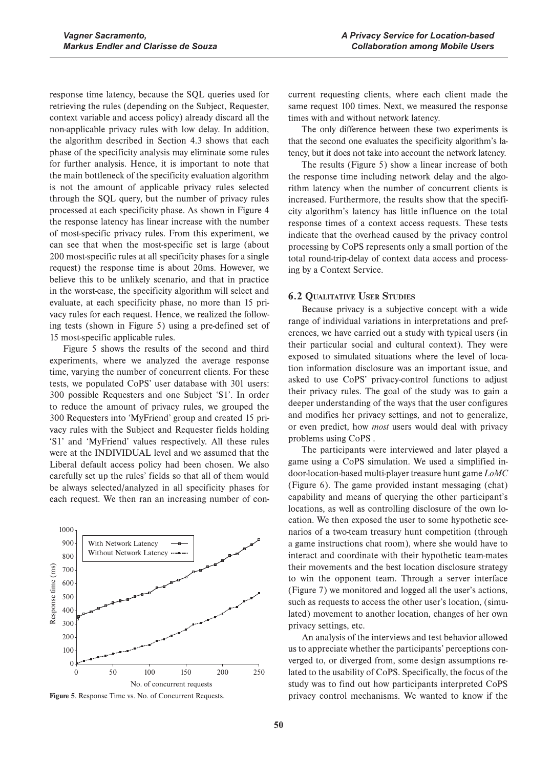response time latency, because the SQL queries used for retrieving the rules (depending on the Subject, Requester, context variable and access policy) already discard all the non-applicable privacy rules with low delay. In addition, the algorithm described in Section 4.3 shows that each phase of the specificity analysis may eliminate some rules for further analysis. Hence, it is important to note that the main bottleneck of the specificity evaluation algorithm is not the amount of applicable privacy rules selected through the SQL query, but the number of privacy rules processed at each specificity phase. As shown in Figure 4 the response latency has linear increase with the number of most-specific privacy rules. From this experiment, we can see that when the most-specific set is large (about 200 most-specific rules at all specificity phases for a single request) the response time is about 20ms. However, we believe this to be unlikely scenario, and that in practice in the worst-case, the specificity algorithm will select and evaluate, at each specificity phase, no more than 15 privacy rules for each request. Hence, we realized the following tests (shown in Figure 5) using a pre-defined set of 15 most-specific applicable rules.

Figure 5 shows the results of the second and third experiments, where we analyzed the average response time, varying the number of concurrent clients. For these tests, we populated CoPS' user database with 301 users: 300 possible Requesters and one Subject 'S1'. In order to reduce the amount of privacy rules, we grouped the 300 Requesters into 'MyFriend' group and created 15 privacy rules with the Subject and Requester fields holding 'S1' and 'MyFriend' values respectively. All these rules were at the INDIVIDUAL level and we assumed that the Liberal default access policy had been chosen. We also carefully set up the rules' fields so that all of them would be always selected/analyzed in all specificity phases for each request. We then ran an increasing number of con-



**Figure 5**. Response Time vs. No. of Concurrent Requests.

current requesting clients, where each client made the same request 100 times. Next, we measured the response times with and without network latency.

The only difference between these two experiments is that the second one evaluates the specificity algorithm's latency, but it does not take into account the network latency.

The results (Figure 5) show a linear increase of both the response time including network delay and the algorithm latency when the number of concurrent clients is increased. Furthermore, the results show that the specificity algorithm's latency has little influence on the total response times of a context access requests. These tests indicate that the overhead caused by the privacy control processing by CoPS represents only a small portion of the total round-trip-delay of context data access and processing by a Context Service.

#### **6.2 QUALITATIVE USER STUDIES**

Because privacy is a subjective concept with a wide range of individual variations in interpretations and preferences, we have carried out a study with typical users (in their particular social and cultural context). They were exposed to simulated situations where the level of location information disclosure was an important issue, and asked to use CoPS' privacy-control functions to adjust their privacy rules. The goal of the study was to gain a deeper understanding of the ways that the user configures and modifies her privacy settings, and not to generalize, or even predict, how *most* users would deal with privacy problems using CoPS .

The participants were interviewed and later played a game using a CoPS simulation. We used a simplified indoor-location-based multi-player treasure hunt game *LoMC* (Figure 6). The game provided instant messaging (chat) capability and means of querying the other participant's locations, as well as controlling disclosure of the own location. We then exposed the user to some hypothetic scenarios of a two-team treasury hunt competition (through a game instructions chat room), where she would have to interact and coordinate with their hypothetic team-mates their movements and the best location disclosure strategy to win the opponent team. Through a server interface (Figure 7) we monitored and logged all the user's actions, such as requests to access the other user's location, (simulated) movement to another location, changes of her own privacy settings, etc.

An analysis of the interviews and test behavior allowed us to appreciate whether the participants' perceptions converged to, or diverged from, some design assumptions related to the usability of CoPS. Specifically, the focus of the study was to find out how participants interpreted CoPS privacy control mechanisms. We wanted to know if the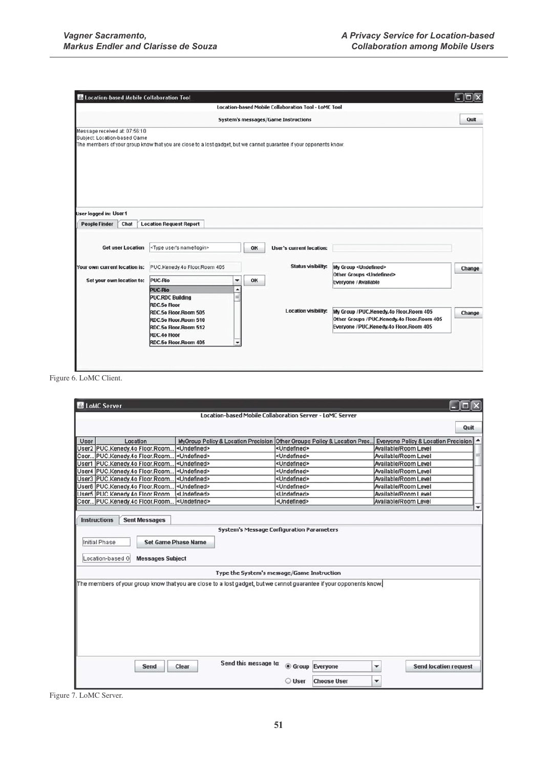| E Location-based Mobile Collaboration Tool                                        |                                                                                                                     |                           |                                                      |                                                                                        |        |
|-----------------------------------------------------------------------------------|---------------------------------------------------------------------------------------------------------------------|---------------------------|------------------------------------------------------|----------------------------------------------------------------------------------------|--------|
|                                                                                   |                                                                                                                     |                           | Location-based Mobile Collaboration Tool - LoMC Tool |                                                                                        |        |
|                                                                                   |                                                                                                                     |                           | System's messages/Game Instructions                  |                                                                                        | Quit   |
| Message received at: 07:56:10<br>Subject: Location-based Game                     | The members of your group know that you are close to a lost gadget, but we cannot guarantee if your opponents know. |                           |                                                      |                                                                                        |        |
| User logged in: User1<br><b>People Finder</b><br>Chat<br><b>Get user Location</b> | <b>Location Request Report</b><br><type login="" name="" user's=""></type>                                          | OK                        | User's current location:                             |                                                                                        |        |
| Your own current location is:                                                     | PUC.Kenedy.4o Floor.Room 405                                                                                        | <b>Status visibility:</b> |                                                      | My Group <undefined><br/>Other Groups <undefined></undefined></undefined>              | Change |
| Set your own location to:                                                         | PUC-Rio<br>۰<br><b>PUC-Rio</b><br>▲<br><b>PUC.RDC Building</b><br><b>RDC.5o Floor</b><br>RDC.5o Floor.Room 505      | OK                        | <b>Location visibility:</b>                          | Everyone / Available<br>My Group / PUC.Kenedy.4o Floor.Room 405                        | Change |
|                                                                                   | RDC.5o Floor.Room 510<br>RDC.5o Floor.Room 512<br><b>RDC.40 Floor</b><br>RDC.5o Floor.Room 405                      |                           |                                                      | Other Groups / PUC.Kenedy.4o Floor.Room 405<br>Everyone / PUC.Kenedy.4o Floor.Room 405 |        |

Figure 6. LoMC Client.

| LoMC Server         |                                             |                                                                                                                     |                                                          |                                                 |  |  |  |
|---------------------|---------------------------------------------|---------------------------------------------------------------------------------------------------------------------|----------------------------------------------------------|-------------------------------------------------|--|--|--|
|                     |                                             |                                                                                                                     | Location-based Mobile Collaboration Server - LoMC Server |                                                 |  |  |  |
|                     |                                             |                                                                                                                     |                                                          |                                                 |  |  |  |
|                     |                                             |                                                                                                                     |                                                          | Quit                                            |  |  |  |
| User                | Location                                    | MyGroup Policy & Location Precision Other Groups Policy & Location Prec.                                            |                                                          | <b>Everyone Policy &amp; Location Precision</b> |  |  |  |
|                     | User2 PUC.Kenedy.4o Floor.Room              | <undefined></undefined>                                                                                             | <undefined></undefined>                                  | Available/Room Level                            |  |  |  |
|                     | Coor PUC.Kenedy.4o Floor.Room               | <undefined></undefined>                                                                                             | <undefined></undefined>                                  | Available/Room Level                            |  |  |  |
|                     | User1 PUC.Kenedy.4o Floor.Room              | <undefined></undefined>                                                                                             | <undefined></undefined>                                  | Available/Room Level                            |  |  |  |
|                     | User4 PUC.Kenedy.4o Floor.Room              | <undefined></undefined>                                                                                             | <undefined></undefined>                                  | Available/Room Level                            |  |  |  |
|                     | User3 PUC.Kenedy.4o Floor.Room              | <undefined></undefined>                                                                                             | <undefined></undefined>                                  | Available/Room Level                            |  |  |  |
|                     | User6 PUC.Kenedy.4o Floor.Room              | <undefined></undefined>                                                                                             | <undefined></undefined>                                  | Available/Room Level                            |  |  |  |
|                     | User5 PUC Kenedy 40 Floor Room              | <undefined></undefined>                                                                                             | <lindefined></lindefined>                                | Available/Room Level                            |  |  |  |
|                     | Coor PUC.Kenedy.4o Floor.Room               | <undefined></undefined>                                                                                             | <undefined></undefined>                                  | Available/Room Level                            |  |  |  |
|                     |                                             |                                                                                                                     |                                                          | ٠                                               |  |  |  |
| <b>Instructions</b> | <b>Sent Messages</b>                        |                                                                                                                     |                                                          |                                                 |  |  |  |
|                     |                                             |                                                                                                                     |                                                          |                                                 |  |  |  |
|                     |                                             |                                                                                                                     | <b>System's Message Corfiguration Parameters</b>         |                                                 |  |  |  |
| Initial Phase       | <b>Set Game Phase Name</b>                  |                                                                                                                     |                                                          |                                                 |  |  |  |
|                     |                                             |                                                                                                                     |                                                          |                                                 |  |  |  |
|                     |                                             |                                                                                                                     |                                                          |                                                 |  |  |  |
|                     | Location-based G<br><b>Messages Subject</b> |                                                                                                                     |                                                          |                                                 |  |  |  |
|                     |                                             |                                                                                                                     | Type the System's message/Game Instruction               |                                                 |  |  |  |
|                     |                                             |                                                                                                                     |                                                          |                                                 |  |  |  |
|                     |                                             | The members of your group know that you are close to a lost gadget, but we cannot guarantee if your opponents know. |                                                          |                                                 |  |  |  |
|                     |                                             |                                                                                                                     |                                                          |                                                 |  |  |  |
|                     |                                             |                                                                                                                     |                                                          |                                                 |  |  |  |
|                     |                                             |                                                                                                                     |                                                          |                                                 |  |  |  |
|                     |                                             |                                                                                                                     |                                                          |                                                 |  |  |  |
|                     |                                             |                                                                                                                     |                                                          |                                                 |  |  |  |
|                     |                                             |                                                                                                                     |                                                          |                                                 |  |  |  |
|                     |                                             |                                                                                                                     |                                                          |                                                 |  |  |  |
|                     |                                             |                                                                                                                     |                                                          |                                                 |  |  |  |
|                     |                                             |                                                                                                                     |                                                          |                                                 |  |  |  |
|                     | Send                                        | Send this message to:<br>Clear                                                                                      | <b>C</b> Group Everyone                                  | <b>Send location request</b><br>۰               |  |  |  |
|                     |                                             |                                                                                                                     |                                                          |                                                 |  |  |  |
|                     |                                             |                                                                                                                     |                                                          |                                                 |  |  |  |

Figure 7. LoMC Server.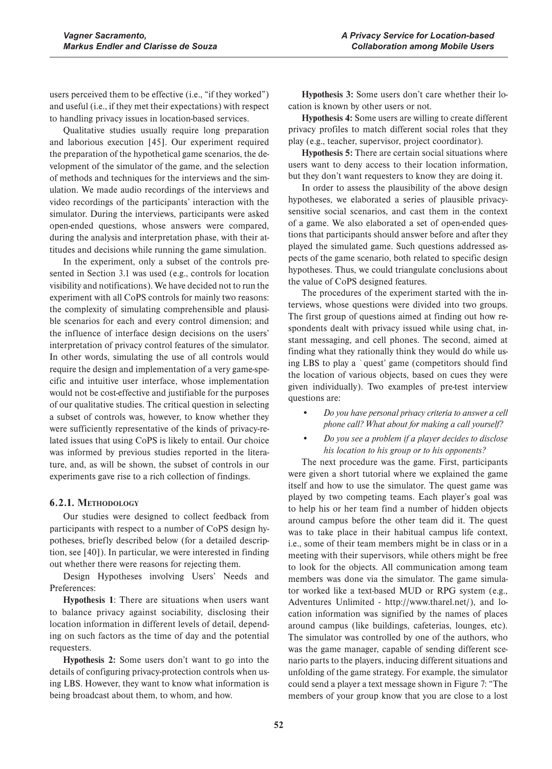users perceived them to be effective (i.e., "if they worked") and useful (i.e., if they met their expectations) with respect to handling privacy issues in location-based services.

Qualitative studies usually require long preparation and laborious execution [45]. Our experiment required the preparation of the hypothetical game scenarios, the development of the simulator of the game, and the selection of methods and techniques for the interviews and the simulation. We made audio recordings of the interviews and video recordings of the participants' interaction with the simulator. During the interviews, participants were asked open-ended questions, whose answers were compared, during the analysis and interpretation phase, with their attitudes and decisions while running the game simulation.

In the experiment, only a subset of the controls presented in Section 3.1 was used (e.g., controls for location visibility and notifications). We have decided not to run the experiment with all CoPS controls for mainly two reasons: the complexity of simulating comprehensible and plausible scenarios for each and every control dimension; and the influence of interface design decisions on the users' interpretation of privacy control features of the simulator. In other words, simulating the use of all controls would require the design and implementation of a very game-specific and intuitive user interface, whose implementation would not be cost-effective and justifiable for the purposes of our qualitative studies. The critical question in selecting a subset of controls was, however, to know whether they were sufficiently representative of the kinds of privacy-related issues that using CoPS is likely to entail. Our choice was informed by previous studies reported in the literature, and, as will be shown, the subset of controls in our experiments gave rise to a rich collection of findings.

### **6.2.1. METHODOLOGY**

Our studies were designed to collect feedback from participants with respect to a number of CoPS design hypotheses, briefly described below (for a detailed description, see [40]). In particular, we were interested in finding out whether there were reasons for rejecting them.

Design Hypotheses involving Users' Needs and Preferences:

**Hypothesis 1**: There are situations when users want to balance privacy against sociability, disclosing their location information in different levels of detail, depending on such factors as the time of day and the potential requesters.

**Hypothesis 2:** Some users don't want to go into the details of configuring privacy-protection controls when using LBS. However, they want to know what information is being broadcast about them, to whom, and how.

**Hypothesis 3:** Some users don't care whether their location is known by other users or not.

**Hypothesis 4:** Some users are willing to create different privacy profiles to match different social roles that they play (e.g., teacher, supervisor, project coordinator).

**Hypothesis 5:** There are certain social situations where users want to deny access to their location information, but they don't want requesters to know they are doing it.

In order to assess the plausibility of the above design hypotheses, we elaborated a series of plausible privacysensitive social scenarios, and cast them in the context of a game. We also elaborated a set of open-ended questions that participants should answer before and after they played the simulated game. Such questions addressed aspects of the game scenario, both related to specific design hypotheses. Thus, we could triangulate conclusions about the value of CoPS designed features.

The procedures of the experiment started with the interviews, whose questions were divided into two groups. The first group of questions aimed at finding out how respondents dealt with privacy issued while using chat, instant messaging, and cell phones. The second, aimed at finding what they rationally think they would do while using LBS to play a `quest' game (competitors should find the location of various objects, based on cues they were given individually). Two examples of pre-test interview questions are:

- Do you have personal privacy criteria to answer a cell *phone call? What about for making a call yourself?*
- *Do you see a problem if a player decides to disclose his location to his group or to his opponents?*

The next procedure was the game. First, participants were given a short tutorial where we explained the game itself and how to use the simulator. The quest game was played by two competing teams. Each player's goal was to help his or her team find a number of hidden objects around campus before the other team did it. The quest was to take place in their habitual campus life context, i.e., some of their team members might be in class or in a meeting with their supervisors, while others might be free to look for the objects. All communication among team members was done via the simulator. The game simulator worked like a text-based MUD or RPG system (e.g., Adventures Unlimited - http://www.tharel.net/), and location information was signified by the names of places around campus (like buildings, cafeterias, lounges, etc). The simulator was controlled by one of the authors, who was the game manager, capable of sending different scenario parts to the players, inducing different situations and unfolding of the game strategy. For example, the simulator could send a player a text message shown in Figure 7: "The members of your group know that you are close to a lost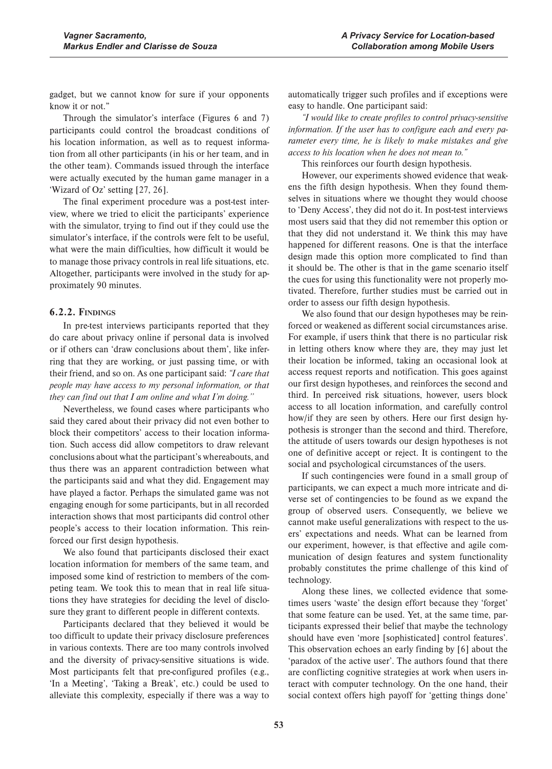gadget, but we cannot know for sure if your opponents know it or not."

Through the simulator's interface (Figures 6 and 7) participants could control the broadcast conditions of his location information, as well as to request information from all other participants (in his or her team, and in the other team). Commands issued through the interface were actually executed by the human game manager in a 'Wizard of Oz' setting [27, 26].

The final experiment procedure was a post-test interview, where we tried to elicit the participants' experience with the simulator, trying to find out if they could use the simulator's interface, if the controls were felt to be useful, what were the main difficulties, how difficult it would be to manage those privacy controls in real life situations, etc. Altogether, participants were involved in the study for approximately 90 minutes.

### **6.2.2. FINDINGS**

In pre-test interviews participants reported that they do care about privacy online if personal data is involved or if others can 'draw conclusions about them', like inferring that they are working, or just passing time, or with their friend, and so on. As one participant said: *"I care that people may have access to my personal information, or that they can find out that I am online and what I'm doing.''*

Nevertheless, we found cases where participants who said they cared about their privacy did not even bother to block their competitors' access to their location information. Such access did allow competitors to draw relevant conclusions about what the participant's whereabouts, and thus there was an apparent contradiction between what the participants said and what they did. Engagement may have played a factor. Perhaps the simulated game was not engaging enough for some participants, but in all recorded interaction shows that most participants did control other people's access to their location information. This reinforced our first design hypothesis.

We also found that participants disclosed their exact location information for members of the same team, and imposed some kind of restriction to members of the competing team. We took this to mean that in real life situations they have strategies for deciding the level of disclosure they grant to different people in different contexts.

Participants declared that they believed it would be too difficult to update their privacy disclosure preferences in various contexts. There are too many controls involved and the diversity of privacy-sensitive situations is wide. Most participants felt that pre-configured profiles (e.g., 'In a Meeting', 'Taking a Break', etc.) could be used to alleviate this complexity, especially if there was a way to

automatically trigger such profiles and if exceptions were easy to handle. One participant said:

*"I would like to create profiles to control privacy-sensitive information. If the user has to configure each and every parameter every time, he is likely to make mistakes and give access to his location when he does not mean to."*

This reinforces our fourth design hypothesis.

However, our experiments showed evidence that weakens the fifth design hypothesis. When they found themselves in situations where we thought they would choose to 'Deny Access', they did not do it. In post-test interviews most users said that they did not remember this option or that they did not understand it. We think this may have happened for different reasons. One is that the interface design made this option more complicated to find than it should be. The other is that in the game scenario itself the cues for using this functionality were not properly motivated. Therefore, further studies must be carried out in order to assess our fifth design hypothesis.

We also found that our design hypotheses may be reinforced or weakened as different social circumstances arise. For example, if users think that there is no particular risk in letting others know where they are, they may just let their location be informed, taking an occasional look at access request reports and notification. This goes against our first design hypotheses, and reinforces the second and third. In perceived risk situations, however, users block access to all location information, and carefully control how/if they are seen by others. Here our first design hypothesis is stronger than the second and third. Therefore, the attitude of users towards our design hypotheses is not one of definitive accept or reject. It is contingent to the social and psychological circumstances of the users.

If such contingencies were found in a small group of participants, we can expect a much more intricate and diverse set of contingencies to be found as we expand the group of observed users. Consequently, we believe we cannot make useful generalizations with respect to the users' expectations and needs. What can be learned from our experiment, however, is that effective and agile communication of design features and system functionality probably constitutes the prime challenge of this kind of technology.

Along these lines, we collected evidence that sometimes users 'waste' the design effort because they 'forget' that some feature can be used. Yet, at the same time, participants expressed their belief that maybe the technology should have even 'more [sophisticated] control features'. This observation echoes an early finding by [6] about the 'paradox of the active user'. The authors found that there are conflicting cognitive strategies at work when users interact with computer technology. On the one hand, their social context offers high payoff for 'getting things done'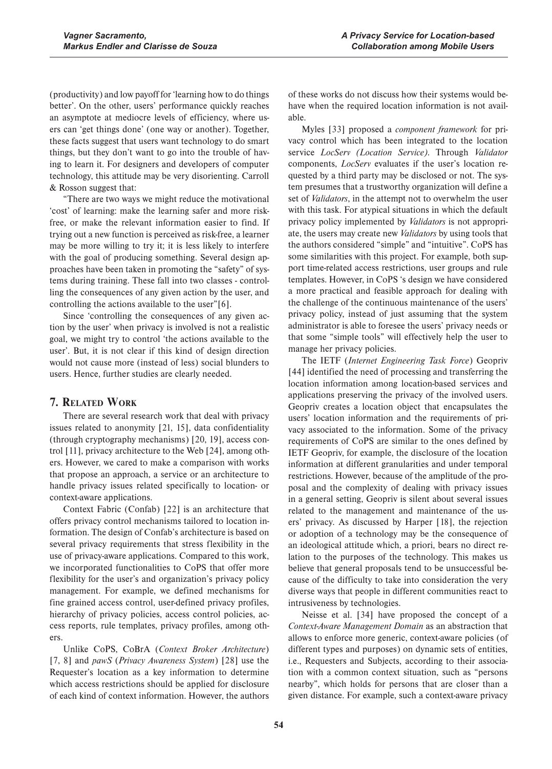(productivity) and low payoff for 'learning how to do things better'. On the other, users' performance quickly reaches an asymptote at mediocre levels of efficiency, where users can 'get things done' (one way or another). Together, these facts suggest that users want technology to do smart things, but they don't want to go into the trouble of having to learn it. For designers and developers of computer technology, this attitude may be very disorienting. Carroll & Rosson suggest that:

"There are two ways we might reduce the motivational 'cost' of learning: make the learning safer and more riskfree, or make the relevant information easier to find. If trying out a new function is perceived as risk-free, a learner may be more willing to try it; it is less likely to interfere with the goal of producing something. Several design approaches have been taken in promoting the "safety" of systems during training. These fall into two classes - controlling the consequences of any given action by the user, and controlling the actions available to the user"[6].

Since 'controlling the consequences of any given action by the user' when privacy is involved is not a realistic goal, we might try to control 'the actions available to the user'. But, it is not clear if this kind of design direction would not cause more (instead of less) social blunders to users. Hence, further studies are clearly needed.

## **7. RELATED WORK**

There are several research work that deal with privacy issues related to anonymity [21, 15], data confidentiality (through cryptography mechanisms) [20, 19], access control [11], privacy architecture to the Web [24], among others. However, we cared to make a comparison with works that propose an approach, a service or an architecture to handle privacy issues related specifically to location- or context-aware applications.

Context Fabric (Confab) [22] is an architecture that offers privacy control mechanisms tailored to location information. The design of Confab's architecture is based on several privacy requirements that stress flexibility in the use of privacy-aware applications. Compared to this work, we incorporated functionalities to CoPS that offer more flexibility for the user's and organization's privacy policy management. For example, we defined mechanisms for fine grained access control, user-defined privacy profiles, hierarchy of privacy policies, access control policies, access reports, rule templates, privacy profiles, among others.

Unlike CoPS, CoBrA (Context Broker Architecture) [7, 8] and *pawS* (*Privacy Awareness System*) [28] use the Requester's location as a key information to determine which access restrictions should be applied for disclosure of each kind of context information. However, the authors of these works do not discuss how their systems would behave when the required location information is not available.

Myles [33] proposed a *component framework* for privacy control which has been integrated to the location service *LocServ (Location Service)*. Through *Validator* components, *LocServ* evaluates if the user's location requested by a third party may be disclosed or not. The system presumes that a trustworthy organization will define a set of *Validators*, in the attempt not to overwhelm the user with this task. For atypical situations in which the default privacy policy implemented by *Validators* is not appropriate, the users may create new *Validators* by using tools that the authors considered "simple" and "intuitive". CoPS has some similarities with this project. For example, both support time-related access restrictions, user groups and rule templates. However, in CoPS 's design we have considered a more practical and feasible approach for dealing with the challenge of the continuous maintenance of the users' privacy policy, instead of just assuming that the system administrator is able to foresee the users' privacy needs or that some "simple tools" will effectively help the user to manage her privacy policies.

The IETF (*Internet Engineering Task Force*) Geopriv [44] identified the need of processing and transferring the location information among location-based services and applications preserving the privacy of the involved users. Geopriv creates a location object that encapsulates the users' location information and the requirements of privacy associated to the information. Some of the privacy requirements of CoPS are similar to the ones defined by IETF Geopriv, for example, the disclosure of the location information at different granularities and under temporal restrictions. However, because of the amplitude of the proposal and the complexity of dealing with privacy issues in a general setting, Geopriv is silent about several issues related to the management and maintenance of the users' privacy. As discussed by Harper [18], the rejection or adoption of a technology may be the consequence of an ideological attitude which, a priori, bears no direct relation to the purposes of the technology. This makes us believe that general proposals tend to be unsuccessful because of the difficulty to take into consideration the very diverse ways that people in different communities react to intrusiveness by technologies.

Neisse et al. [34] have proposed the concept of a *Context-Aware Management Domain* as an abstraction that allows to enforce more generic, context-aware policies (of different types and purposes) on dynamic sets of entities, i.e., Requesters and Subjects, according to their association with a common context situation, such as "persons nearby", which holds for persons that are closer than a given distance. For example, such a context-aware privacy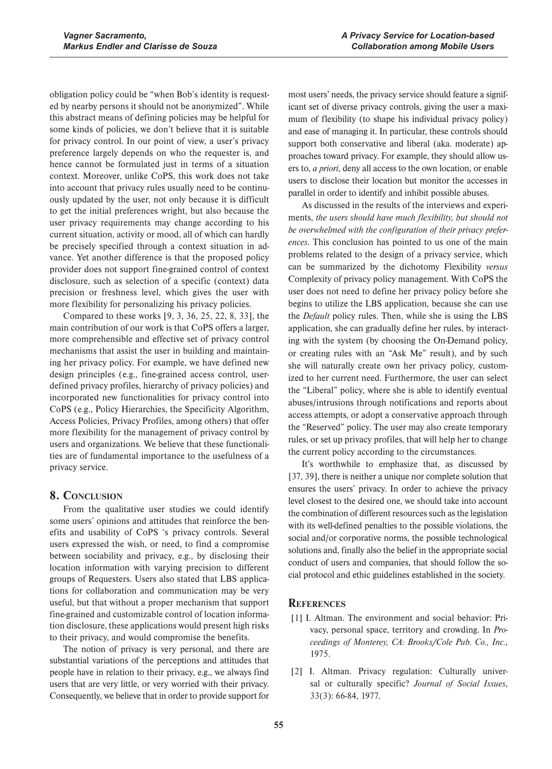obligation policy could be "when Bob's identity is requested by nearby persons it should not be anonymized". While this abstract means of defining policies may be helpful for some kinds of policies, we don't believe that it is suitable for privacy control. In our point of view, a user's privacy preference largely depends on who the requester is, and hence cannot be formulated just in terms of a situation context. Moreover, unlike CoPS, this work does not take into account that privacy rules usually need to be continuously updated by the user, not only because it is difficult to get the initial preferences wright, but also because the user privacy requirements may change according to his current situation, activity or mood, all of which can hardly be precisely specified through a context situation in advance. Yet another difference is that the proposed policy provider does not support fine-grained control of context disclosure, such as selection of a specific (context) data precision or freshness level, which gives the user with more flexibility for personalizing his privacy policies.

Compared to these works [9, 3, 36, 25, 22, 8, 33], the main contribution of our work is that CoPS offers a larger, more comprehensible and effective set of privacy control mechanisms that assist the user in building and maintaining her privacy policy. For example, we have defined new design principles (e.g., fine-grained access control, userdefined privacy profiles, hierarchy of privacy policies) and incorporated new functionalities for privacy control into CoPS (e.g., Policy Hierarchies, the Specificity Algorithm, Access Policies, Privacy Profiles, among others) that offer more flexibility for the management of privacy control by users and organizations. We believe that these functionalities are of fundamental importance to the usefulness of a privacy service.

# **8. CONCLUSION**

From the qualitative user studies we could identify some users' opinions and attitudes that reinforce the benefits and usability of CoPS 's privacy controls. Several users expressed the wish, or need, to find a compromise between sociability and privacy, e.g., by disclosing their location information with varying precision to different groups of Requesters. Users also stated that LBS applications for collaboration and communication may be very useful, but that without a proper mechanism that support fine-grained and customizable control of location information disclosure, these applications would present high risks to their privacy, and would compromise the benefits.

The notion of privacy is very personal, and there are substantial variations of the perceptions and attitudes that people have in relation to their privacy, e.g., we always find users that are very little, or very worried with their privacy. Consequently, we believe that in order to provide support for

most users' needs, the privacy service should feature a significant set of diverse privacy controls, giving the user a maximum of flexibility (to shape his individual privacy policy) and ease of managing it. In particular, these controls should support both conservative and liberal (aka. moderate) approaches toward privacy. For example, they should allow users to, *a priori*, deny all access to the own location, or enable users to disclose their location but monitor the accesses in parallel in order to identify and inhibit possible abuses.

As discussed in the results of the interviews and experiments, *the users should have much flexibility, but should not be overwhelmed with the configuration of their privacy preferences*. This conclusion has pointed to us one of the main problems related to the design of a privacy service, which can be summarized by the dichotomy Flexibility *versus* Complexity of privacy policy management. With CoPS the user does not need to define her privacy policy before she begins to utilize the LBS application, because she can use the *Default* policy rules. Then, while she is using the LBS application, she can gradually define her rules, by interacting with the system (by choosing the On-Demand policy, or creating rules with an "Ask Me" result), and by such she will naturally create own her privacy policy, customized to her current need. Furthermore, the user can select the "Liberal" policy, where she is able to identify eventual abuses/intrusions through notifications and reports about access attempts, or adopt a conservative approach through the "Reserved" policy. The user may also create temporary rules, or set up privacy profiles, that will help her to change the current policy according to the circumstances.

It's worthwhile to emphasize that, as discussed by [37, 39], there is neither a unique nor complete solution that ensures the users' privacy. In order to achieve the privacy level closest to the desired one, we should take into account the combination of different resources such as the legislation with its well-defined penalties to the possible violations, the social and/or corporative norms, the possible technological solutions and, finally also the belief in the appropriate social conduct of users and companies, that should follow the social protocol and ethic guidelines established in the society.

# **REFERENCES**

- [1] I. Altman. The environment and social behavior: Privacy, personal space, territory and crowding. In *Proceedings of Monterey, CA: Brooks/Cole Pub. Co., Inc.*, 1975.
- [2] I. Altman. Privacy regulation: Culturally universal or culturally specific? *Journal of Social Issues*, 33(3): 66-84, 1977.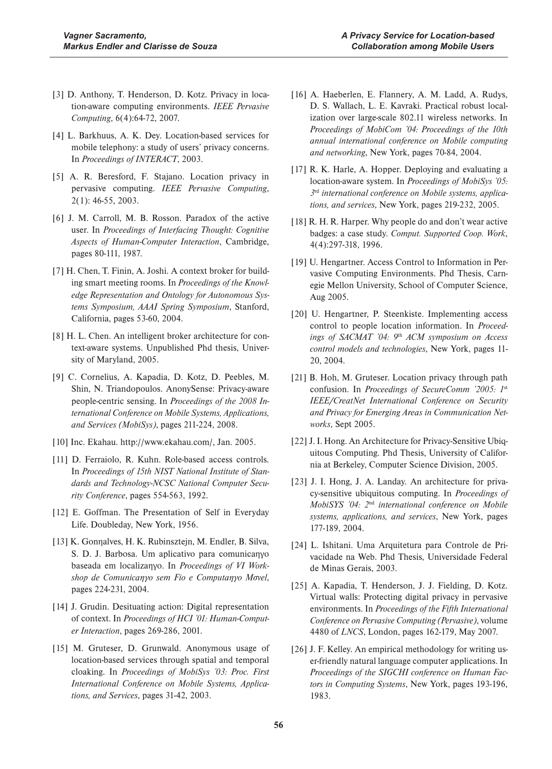- [3] D. Anthony, T. Henderson, D. Kotz. Privacy in location-aware computing environments. *IEEE Pervasive Computing*, 6(4):64-72, 2007.
- [4] L. Barkhuus, A. K. Dey. Location-based services for mobile telephony: a study of users' privacy concerns. In *Proceedings of INTERACT*, 2003.
- [5] A. R. Beresford, F. Stajano. Location privacy in pervasive computing. *IEEE Pervasive Computing*, 2(1): 46-55, 2003.
- [6] J. M. Carroll, M. B. Rosson. Paradox of the active user. In *Proceedings of Interfacing Thought: Cognitive Aspects of Human-Computer Interaction*, Cambridge, pages 80-111, 1987.
- [7] H. Chen, T. Finin, A. Joshi. A context broker for building smart meeting rooms. In *Proceedings of the Knowledge Representation and Ontology for Autonomous Systems Symposium, AAAI Spring Symposium*, Stanford, California, pages 53-60, 2004.
- [8] H. L. Chen. An intelligent broker architecture for context-aware systems. Unpublished Phd thesis, University of Maryland, 2005.
- [9] C. Cornelius, A. Kapadia, D. Kotz, D. Peebles, M. Shin, N. Triandopoulos. AnonySense: Privacy-aware people-centric sensing. In *Proceedings of the 2008 International Conference on Mobile Systems, Applications, and Services (MobiSys)*, pages 211-224, 2008.
- [10] Inc. Ekahau. http://www.ekahau.com/, Jan. 2005.
- [11] D. Ferraiolo, R. Kuhn. Role-based access controls. In *Proceedings of 15th NIST National Institute of Standards and Technology-NCSC National Computer Security Conference*, pages 554-563, 1992.
- [12] E. Goffman. The Presentation of Self in Everyday Life. Doubleday, New York, 1956.
- [13] K. Gonnalves, H. K. Rubinsztejn, M. Endler, B. Silva, S. D. J. Barbosa. Um aplicativo para comunicanyo baseada em localizanyo. In Proceedings of VI Workshop de Comunicanyo sem Fio e Computanyo Movel, pages 224-231, 2004.
- [14] J. Grudin. Desituating action: Digital representation of context. In *Proceedings of HCI '01: Human-Computer Interaction*, pages 269-286, 2001.
- [15] M. Gruteser, D. Grunwald. Anonymous usage of location-based services through spatial and temporal cloaking. In *Proceedings of MobiSys '03: Proc. First International Conference on Mobile Systems, Applications, and Services*, pages 31-42, 2003.
- [16] A. Haeberlen, E. Flannery, A. M. Ladd, A. Rudys, D. S. Wallach, L. E. Kavraki. Practical robust localization over large-scale 802.11 wireless networks. In *Proceedings of MobiCom '04: Proceedings of the 10th annual international conference on Mobile computing and networking*, New York, pages 70-84, 2004.
- [17] R. K. Harle, A. Hopper. Deploying and evaluating a location-aware system. In *Proceedings of MobiSys '05: 3*rd *international conference on Mobile systems, applications, and services*, New York, pages 219-232, 2005.
- [18] R. H. R. Harper. Why people do and don't wear active badges: a case study. *Comput. Supported Coop. Work*, 4(4):297-318, 1996.
- [19] U. Hengartner. Access Control to Information in Pervasive Computing Environments. Phd Thesis, Carnegie Mellon University, School of Computer Science, Aug 2005.
- [20] U. Hengartner, P. Steenkiste. Implementing access control to people location information. In *Proceedings of SACMAT '04: 9*th *ACM symposium on Access control models and technologies*, New York, pages 11- 20, 2004.
- [21] B. Hoh, M. Gruteser. Location privacy through path confusion. In *Proceedings of SecureComm '2005: 1*st *IEEE/CreatNet International Conference on Security and Privacy for Emerging Areas in Communication Networks*, Sept 2005.
- [22] J. I. Hong. An Architecture for Privacy-Sensitive Ubiquitous Computing. Phd Thesis, University of California at Berkeley, Computer Science Division, 2005.
- [23] J. I. Hong, J. A. Landay. An architecture for privacy-sensitive ubiquitous computing. In *Proceedings of MobiSYS '04: 2*nd *international conference on Mobile systems, applications, and services*, New York, pages 177-189, 2004.
- [24] L. Ishitani. Uma Arquitetura para Controle de Privacidade na Web. Phd Thesis, Universidade Federal de Minas Gerais, 2003.
- [25] A. Kapadia, T. Henderson, J. J. Fielding, D. Kotz. Virtual walls: Protecting digital privacy in pervasive environments. In *Proceedings of the Fifth International Conference on Pervasive Computing (Pervasive)*, volume 4480 of *LNCS*, London, pages 162-179, May 2007.
- [26] J. F. Kelley. An empirical methodology for writing user-friendly natural language computer applications. In *Proceedings of the SIGCHI conference on Human Factors in Computing Systems*, New York, pages 193-196, 1983.